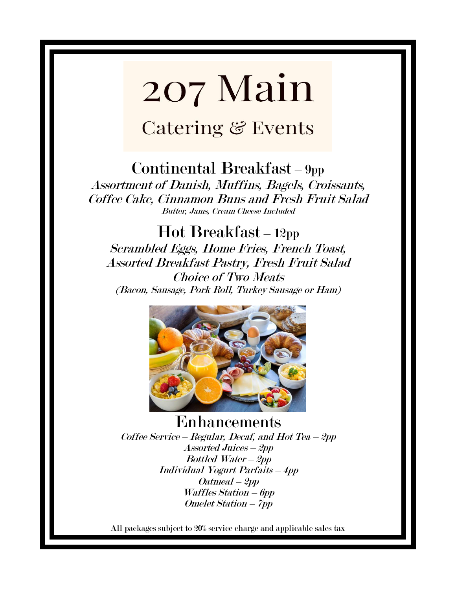# Catering & Events

### Continental Breakfast – 9pp

Assortment of Danish, Muffins, Bagels, Croissants, Coffee Cake, Cinnamon Buns and Fresh Fruit Salad Butter, Jams, Cream Cheese Included

Hot Breakfast – 12pp Scrambled Eggs, Home Fries, French Toast, Assorted Breakfast Pastry, Fresh Fruit Salad Choice of Two Meats (Bacon, Sausage, Pork Roll, Turkey Sausage or Ham)



Enhancements Coffee Service – Regular, Decaf, and Hot Tea – 2pp Assorted Juices – 2pp Bottled Water – 2pp Individual Yogurt Parfaits – 4pp Oatmeal – 2pp Waffles Station – 6pp Omelet Station – 7pp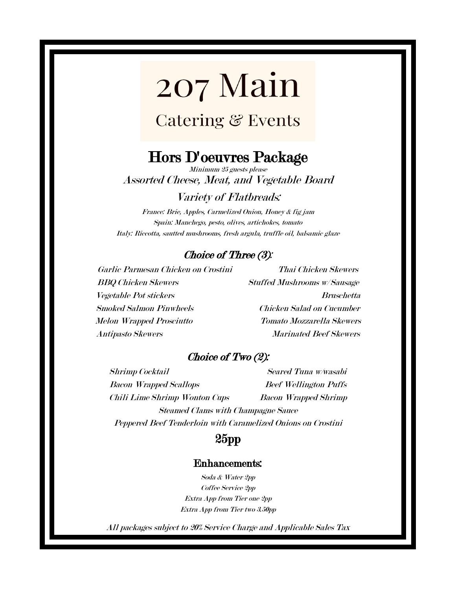## Catering & Events

### Hors D'oeuvres Package

Minimum 25 guests please Assorted Cheese, Meat, and Vegetable Board

#### Variety of Flatbreads:

France: Brie, Apples, Carmelized Onion, Honey & fig jam Spain: Manchego, pesto, olives, artichokes, tomato Italy: Riccotta, sautted mushrooms, fresh argula, truffle oil, balsamic glaze

#### Choice of Three (3):

Garlic Parmesan Chicken on Crostini Thai Chicken Skewers BBQ Chicken Skewers Stuffed Mushrooms w/ Sausage Vegetable Pot stickers Bruschetta Smoked Salmon Pinwheels Chicken Salad on Cucumber Melon Wrapped Prosciutto Tomato Mozzarella Skewers Antipasto Skewers Marinated Beef Skewers

#### Choice of Two (2):

Shrimp Cocktail Seared Tuna w/wasabi Bacon Wrapped Scallops Beef Wellington Puffs Chili Lime Shrimp Wonton Cups Bacon Wrapped Shrimp Steamed Clams with Champagne Sauce Peppered Beef Tenderloin with Caramelized Onions on Crostini

#### 25pp

#### Enhancements:

Soda & Water 2pp Coffee Service 2pp Extra App from Tier one 2pp Extra App from Tier two 3.50pp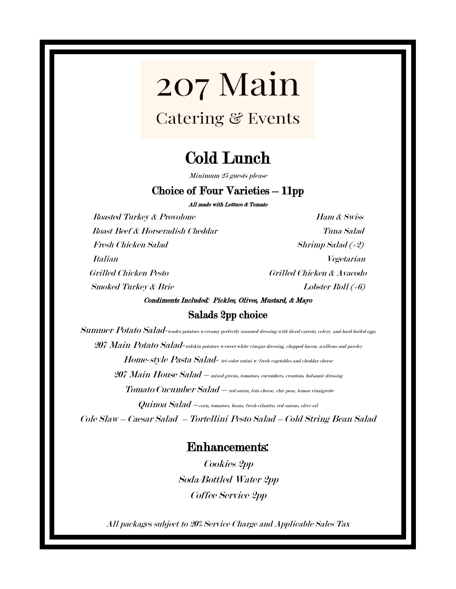**Catering & Events** 

## Cold Lunch

Minimum 25 guests please

#### Choice of Four Varieties – 11pp

All made with Lettuce & Tomato

Roasted Turkey & Provolone Ham & Swiss Roast Beef & Horseradish Cheddar Tuna Salad Fresh Chicken Salad Shrimp Salad (+2) Italian Vegetarian Grilled Chicken Pesto Grilled Chicken & Avacodo  $Smoked\; Turkey\; &\; Brief\;$ 

#### Condiments Included: Pickles, Olives, Mustard, & Mayo Salads 2pp choice

Summer Potato Salad-tender potatoes w/creamy perfectly seasoned dressing with diced carrots, celery, and hard boiled eggs 207 Main Potato Salad-redskin potatoes w/sweet white vinegar dressing, chopped bacon, scallions and parsley Home-style Pasta Salad- tri-color rotini w/fresh vegetables and cheddar cheese  $207$  Main House Salad – mixed greens, tomatoes, cucumbers, croutons, balsamic dressing  $\emph{Tomato/Cucumber Salad - red onion, feta cheese, chic peas, lemon vinaigrette}$  $Quinoa Sala-d -$ corn, tomatoes, beans, fresh cilantro, red onions, olive oil Cole Slaw – Caesar Salad – Tortellini Pesto Salad – Cold String Bean Salad

#### Enhancements:

Cookies 2pp Soda/Bottled Water 2pp Coffee Service 2pp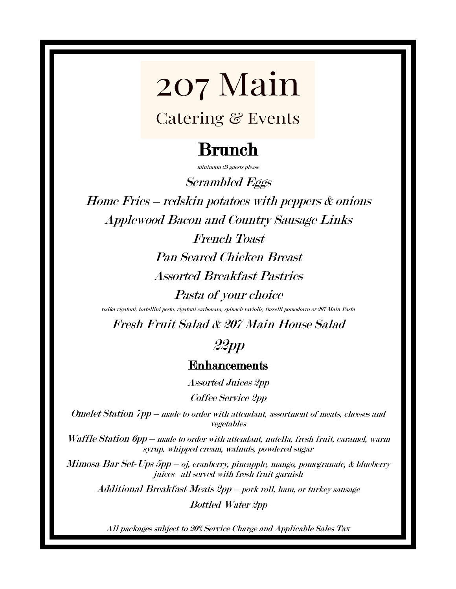## Catering & Events

# Brunch

minimum 25 guests please

Scrambled Eggs

Home Fries – redskin potatoes with peppers & onions Applewood Bacon and Country Sausage Links

> French Toast Pan Seared Chicken Breast Assorted Breakfast Pastries

> > Pasta of your choice

vodka rigatoni, tortellini pesto, rigatoni carbonara, spinach raviolis, fusselli pomodorro or 207 Main Pasta

Fresh Fruit Salad & 207 Main House Salad

### 22pp

#### Enhancements

Assorted Juices 2pp

Coffee Service 2pp

Omelet Station 7pp – made to order with attendant, assortment of meats, cheeses and vegetables

Waffle Station 6pp – made to order with attendant, nutella, fresh fruit, caramel, warm syrup, whipped cream, walnuts, powdered sugar

Mimosa Bar Set-Ups 5pp – oj, cranberry, pineapple, mango, pomegranate, & blueberry juices all served with fresh fruit garnish

Additional Breakfast Meats 2pp – pork roll, ham, or turkey sausage

Bottled Water 2pp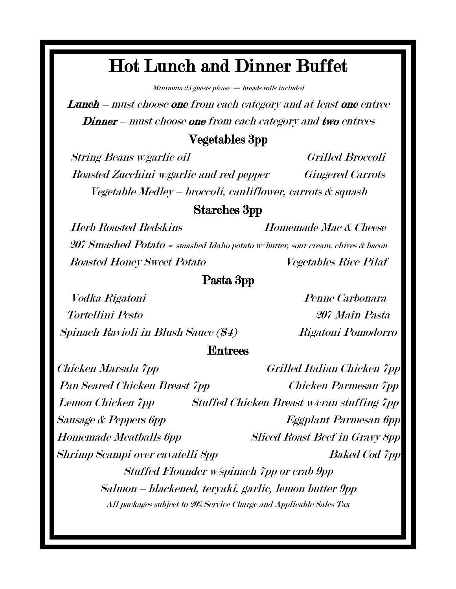# Hot Lunch and Dinner Buffet

 $Minimum 25$  guests please  $-$  breads/rolls included

Lunch – must choose one from each category and at least one entree Dinner – must choose one from each category and two entrees

#### Vegetables 3pp

String Beans w/garlic oil Grilled Broccoli Roasted Zucchini w/garlic and red pepper Gingered Carrots Vegetable Medley – broccoli, cauliflower, carrots & squash

#### Starches 3pp

Herb Roasted Redskins Homemade Mac & Cheese 207 Smashed Potato = smashed Idaho potato w/ butter, sour cream, chives & bacon Roasted Honey Sweet Potato Vegetables Rice Pilaf

#### Pasta 3pp

Vodka Rigatoni Penne Carbonara Tortellini Pesto 207 Main Pasta Spinach Ravioli in Blush Sauce (\$4) Rigatoni Pomodorro

#### Entrees

Chicken Marsala 7pp Grilled Italian Chicken 7pp Pan Seared Chicken Breast 7pp Chicken Parmesan 7pp Lemon Chicken 7pp Stuffed Chicken Breast w/cran stuffing 7pp Sausage & Peppers 6pp Eggplant Parmesan 6pp Homemade Meatballs 6pp Sliced Roast Beef in Gravy 8pp Shrimp Scampi over cavatelli 8pp Baked Cod 7pp Stuffed Flounder w/spinach 7pp or crab 9pp Salmon – blackened, teryaki, garlic, lemon butter 9pp